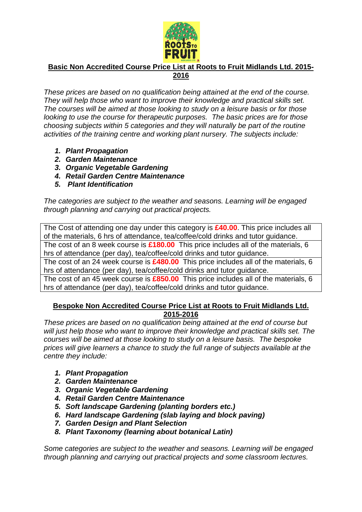

## **Basic Non Accredited Course Price List at Roots to Fruit Midlands Ltd. 2015- 2016**

*These prices are based on no qualification being attained at the end of the course. They will help those who want to improve their knowledge and practical skills set. The courses will be aimed at those looking to study on a leisure basis or for those looking to use the course for therapeutic purposes. The basic prices are for those choosing subjects within 5 categories and they will naturally be part of the routine activities of the training centre and working plant nursery. The subjects include:*

- *1. Plant Propagation*
- *2. Garden Maintenance*
- *3. Organic Vegetable Gardening*
- *4. Retail Garden Centre Maintenance*
- *5. Plant Identification*

*The categories are subject to the weather and seasons. Learning will be engaged through planning and carrying out practical projects.*

The Cost of attending one day under this category is **£40.00**. This price includes all of the materials, 6 hrs of attendance, tea/coffee/cold drinks and tutor guidance. The cost of an 8 week course is **£180.00** This price includes all of the materials, 6 hrs of attendance (per day), tea/coffee/cold drinks and tutor guidance. The cost of an 24 week course is **£480.00** This price includes all of the materials, 6 hrs of attendance (per day), tea/coffee/cold drinks and tutor guidance. The cost of an 45 week course is **£850.00** This price includes all of the materials, 6 hrs of attendance (per day), tea/coffee/cold drinks and tutor guidance.

## **Bespoke Non Accredited Course Price List at Roots to Fruit Midlands Ltd. 2015-2016**

*These prices are based on no qualification being attained at the end of course but will just help those who want to improve their knowledge and practical skills set. The courses will be aimed at those looking to study on a leisure basis. The bespoke prices will give learners a chance to study the full range of subjects available at the centre they include:*

- *1. Plant Propagation*
- *2. Garden Maintenance*
- *3. Organic Vegetable Gardening*
- *4. Retail Garden Centre Maintenance*
- *5. Soft landscape Gardening (planting borders etc.)*
- *6. Hard landscape Gardening (slab laying and block paving)*
- *7. Garden Design and Plant Selection*
- *8. Plant Taxonomy (learning about botanical Latin)*

*Some categories are subject to the weather and seasons. Learning will be engaged through planning and carrying out practical projects and some classroom lectures.*